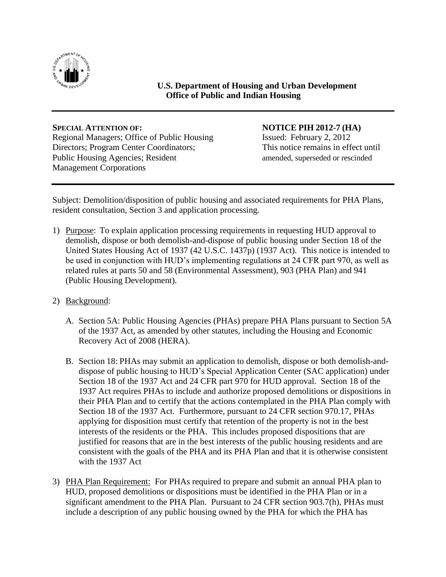

**U.S. Department of Housing and Urban Development Office of Public and Indian Housing**

Regional Managers; Office of Public Housing Issued: February 2, 2012 Directors; Program Center Coordinators; This notice remains in effect until Public Housing Agencies; Resident amended, superseded or rescinded Management Corporations

## **SPECIAL ATTENTION OF: NOTICE PIH 2012-7 (HA)**

Subject: Demolition/disposition of public housing and associated requirements for PHA Plans, resident consultation, Section 3 and application processing.

- 1) Purpose: To explain application processing requirements in requesting HUD approval to demolish, dispose or both demolish-and-dispose of public housing under Section 18 of the United States Housing Act of 1937 (42 U.S.C. 1437p) (1937 Act). This notice is intended to be used in conjunction with HUD's implementing regulations at 24 CFR part 970, as well as related rules at parts 50 and 58 (Environmental Assessment), 903 (PHA Plan) and 941 (Public Housing Development).
- 2) Background:
	- A. Section 5A: Public Housing Agencies (PHAs) prepare PHA Plans pursuant to Section 5A of the 1937 Act, as amended by other statutes, including the Housing and Economic Recovery Act of 2008 (HERA).
	- B. Section 18: PHAs may submit an application to demolish, dispose or both demolish-anddispose of public housing to HUD's Special Application Center (SAC application) under Section 18 of the 1937 Act and 24 CFR part 970 for HUD approval. Section 18 of the 1937 Act requires PHAs to include and authorize proposed demolitions or dispositions in their PHA Plan and to certify that the actions contemplated in the PHA Plan comply with Section 18 of the 1937 Act. Furthermore, pursuant to 24 CFR section 970.17, PHAs applying for disposition must certify that retention of the property is not in the best interests of the residents or the PHA. This includes proposed dispositions that are justified for reasons that are in the best interests of the public housing residents and are consistent with the goals of the PHA and its PHA Plan and that it is otherwise consistent with the 1937 Act
- 3) PHA Plan Requirement: For PHAs required to prepare and submit an annual PHA plan to HUD, proposed demolitions or dispositions must be identified in the PHA Plan or in a significant amendment to the PHA Plan. Pursuant to 24 CFR section 903.7(h), PHAs must include a description of any public housing owned by the PHA for which the PHA has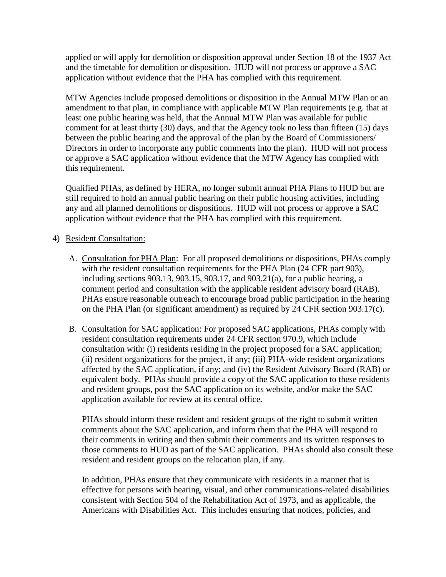applied or will apply for demolition or disposition approval under Section 18 of the 1937 Act and the timetable for demolition or disposition. HUD will not process or approve a SAC application without evidence that the PHA has complied with this requirement.

MTW Agencies include proposed demolitions or disposition in the Annual MTW Plan or an amendment to that plan, in compliance with applicable MTW Plan requirements (e.g. that at least one public hearing was held, that the Annual MTW Plan was available for public comment for at least thirty (30) days, and that the Agency took no less than fifteen (15) days between the public hearing and the approval of the plan by the Board of Commissioners/ Directors in order to incorporate any public comments into the plan). HUD will not process or approve a SAC application without evidence that the MTW Agency has complied with this requirement.

Qualified PHAs, as defined by HERA, no longer submit annual PHA Plans to HUD but are still required to hold an annual public hearing on their public housing activities, including any and all planned demolitions or dispositions. HUD will not process or approve a SAC application without evidence that the PHA has complied with this requirement.

## 4) Resident Consultation:

- A. Consultation for PHA Plan: For all proposed demolitions or dispositions, PHAs comply with the resident consultation requirements for the PHA Plan (24 CFR part 903), including sections 903.13, 903.15, 903.17, and 903.21(a), for a public hearing, a comment period and consultation with the applicable resident advisory board (RAB). PHAs ensure reasonable outreach to encourage broad public participation in the hearing on the PHA Plan (or significant amendment) as required by 24 CFR section 903.17(c).
- B. Consultation for SAC application: For proposed SAC applications, PHAs comply with resident consultation requirements under 24 CFR section 970.9, which include consultation with: (i) residents residing in the project proposed for a SAC application; (ii) resident organizations for the project, if any; (iii) PHA-wide resident organizations affected by the SAC application, if any; and (iv) the Resident Advisory Board (RAB) or equivalent body. PHAs should provide a copy of the SAC application to these residents and resident groups, post the SAC application on its website, and/or make the SAC application available for review at its central office.

PHAs should inform these resident and resident groups of the right to submit written comments about the SAC application, and inform them that the PHA will respond to their comments in writing and then submit their comments and its written responses to those comments to HUD as part of the SAC application. PHAs should also consult these resident and resident groups on the relocation plan, if any.

In addition, PHAs ensure that they communicate with residents in a manner that is effective for persons with hearing, visual, and other communications-related disabilities consistent with Section 504 of the Rehabilitation Act of 1973, and as applicable, the Americans with Disabilities Act. This includes ensuring that notices, policies, and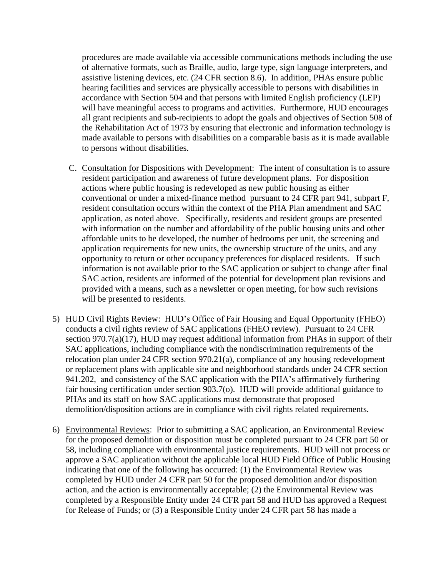procedures are made available via accessible communications methods including the use of alternative formats, such as Braille, audio, large type, sign language interpreters, and assistive listening devices, etc. (24 CFR section 8.6). In addition, PHAs ensure public hearing facilities and services are physically accessible to persons with disabilities in accordance with Section 504 and that persons with limited English proficiency (LEP) will have meaningful access to programs and activities. Furthermore, HUD encourages all grant recipients and sub-recipients to adopt the goals and objectives of Section 508 of the Rehabilitation Act of 1973 by ensuring that electronic and information technology is made available to persons with disabilities on a comparable basis as it is made available to persons without disabilities.

- C. Consultation for Dispositions with Development: The intent of consultation is to assure resident participation and awareness of future development plans. For disposition actions where public housing is redeveloped as new public housing as either conventional or under a mixed-finance method pursuant to 24 CFR part 941, subpart F, resident consultation occurs within the context of the PHA Plan amendment and SAC application, as noted above. Specifically, residents and resident groups are presented with information on the number and affordability of the public housing units and other affordable units to be developed, the number of bedrooms per unit, the screening and application requirements for new units, the ownership structure of the units, and any opportunity to return or other occupancy preferences for displaced residents. If such information is not available prior to the SAC application or subject to change after final SAC action, residents are informed of the potential for development plan revisions and provided with a means, such as a newsletter or open meeting, for how such revisions will be presented to residents.
- 5) HUD Civil Rights Review: HUD's Office of Fair Housing and Equal Opportunity (FHEO) conducts a civil rights review of SAC applications (FHEO review). Pursuant to 24 CFR section 970.7(a)(17), HUD may request additional information from PHAs in support of their SAC applications, including compliance with the nondiscrimination requirements of the relocation plan under 24 CFR section 970.21(a), compliance of any housing redevelopment or replacement plans with applicable site and neighborhood standards under 24 CFR section 941.202, and consistency of the SAC application with the PHA's affirmatively furthering fair housing certification under section 903.7(o).HUD will provide additional guidance to PHAs and its staff on how SAC applications must demonstrate that proposed demolition/disposition actions are in compliance with civil rights related requirements.
- 6) Environmental Reviews: Prior to submitting a SAC application, an Environmental Review for the proposed demolition or disposition must be completed pursuant to 24 CFR part 50 or 58, including compliance with environmental justice requirements. HUD will not process or approve a SAC application without the applicable local HUD Field Office of Public Housing indicating that one of the following has occurred: (1) the Environmental Review was completed by HUD under 24 CFR part 50 for the proposed demolition and/or disposition action, and the action is environmentally acceptable; (2) the Environmental Review was completed by a Responsible Entity under 24 CFR part 58 and HUD has approved a Request for Release of Funds; or (3) a Responsible Entity under 24 CFR part 58 has made a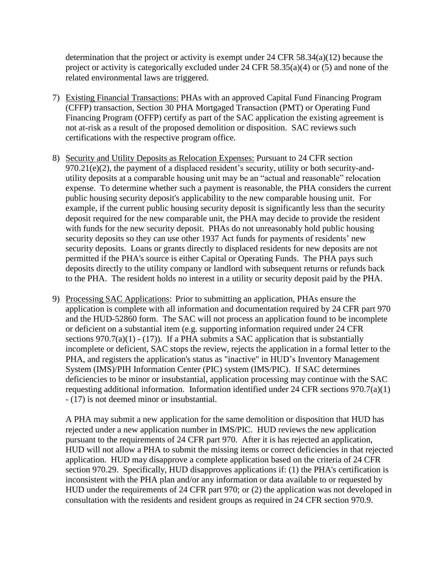determination that the project or activity is exempt under 24 CFR 58.34(a)(12) because the project or activity is categorically excluded under 24 CFR  $58.35(a)(4)$  or (5) and none of the related environmental laws are triggered.

- 7) Existing Financial Transactions: PHAs with an approved Capital Fund Financing Program (CFFP) transaction, Section 30 PHA Mortgaged Transaction (PMT) or Operating Fund Financing Program (OFFP) certify as part of the SAC application the existing agreement is not at-risk as a result of the proposed demolition or disposition. SAC reviews such certifications with the respective program office.
- 8) Security and Utility Deposits as Relocation Expenses: Pursuant to 24 CFR section 970.21(e)(2), the payment of a displaced resident's security, utility or both security-andutility deposits at a comparable housing unit may be an "actual and reasonable" relocation expense. To determine whether such a payment is reasonable, the PHA considers the current public housing security deposit's applicability to the new comparable housing unit. For example, if the current public housing security deposit is significantly less than the security deposit required for the new comparable unit, the PHA may decide to provide the resident with funds for the new security deposit. PHAs do not unreasonably hold public housing security deposits so they can use other 1937 Act funds for payments of residents' new security deposits. Loans or grants directly to displaced residents for new deposits are not permitted if the PHA's source is either Capital or Operating Funds. The PHA pays such deposits directly to the utility company or landlord with subsequent returns or refunds back to the PHA. The resident holds no interest in a utility or security deposit paid by the PHA.
- 9) Processing SAC Applications: Prior to submitting an application, PHAs ensure the application is complete with all information and documentation required by 24 CFR part 970 and the HUD-52860 form. The SAC will not process an application found to be incomplete or deficient on a substantial item (e.g. supporting information required under 24 CFR sections  $970.7(a)(1) - (17)$ . If a PHA submits a SAC application that is substantially incomplete or deficient, SAC stops the review, rejects the application in a formal letter to the PHA, and registers the application's status as "inactive" in HUD's Inventory Management System (IMS)/PIH Information Center (PIC) system (IMS/PIC). If SAC determines deficiencies to be minor or insubstantial, application processing may continue with the SAC requesting additional information. Information identified under 24 CFR sections 970.7(a)(1) - (17) is not deemed minor or insubstantial.

A PHA may submit a new application for the same demolition or disposition that HUD has rejected under a new application number in IMS/PIC. HUD reviews the new application pursuant to the requirements of 24 CFR part 970. After it is has rejected an application, HUD will not allow a PHA to submit the missing items or correct deficiencies in that rejected application. HUD may disapprove a complete application based on the criteria of 24 CFR section 970.29. Specifically, HUD disapproves applications if: (1) the PHA's certification is inconsistent with the PHA plan and/or any information or data available to or requested by HUD under the requirements of 24 CFR part 970; or (2) the application was not developed in consultation with the residents and resident groups as required in 24 CFR section 970.9.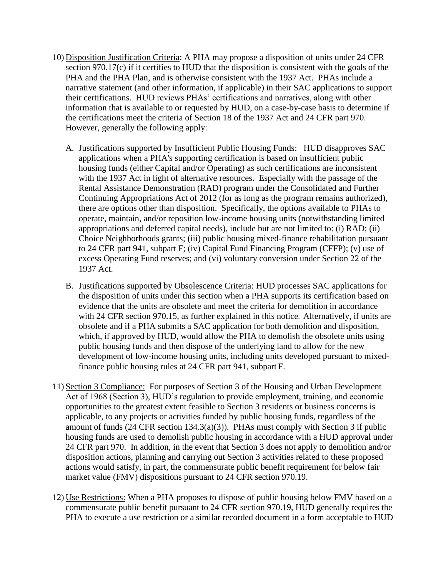- 10) Disposition Justification Criteria: A PHA may propose a disposition of units under 24 CFR section 970.17(c) if it certifies to HUD that the disposition is consistent with the goals of the PHA and the PHA Plan, and is otherwise consistent with the 1937 Act. PHAs include a narrative statement (and other information, if applicable) in their SAC applications to support their certifications. HUD reviews PHAs' certifications and narratives, along with other information that is available to or requested by HUD, on a case-by-case basis to determine if the certifications meet the criteria of Section 18 of the 1937 Act and 24 CFR part 970. However, generally the following apply:
	- A. Justifications supported by Insufficient Public Housing Funds: HUD disapproves SAC applications when a PHA's supporting certification is based on insufficient public housing funds (either Capital and/or Operating) as such certifications are inconsistent with the 1937 Act in light of alternative resources. Especially with the passage of the Rental Assistance Demonstration (RAD) program under the Consolidated and Further Continuing Appropriations Act of 2012 (for as long as the program remains authorized), there are options other than disposition. Specifically, the options available to PHAs to operate, maintain, and/or reposition low-income housing units (notwithstanding limited appropriations and deferred capital needs), include but are not limited to: (i) RAD; (ii) Choice Neighborhoods grants; (iii) public housing mixed-finance rehabilitation pursuant to 24 CFR part 941, subpart F; (iv) Capital Fund Financing Program (CFFP); (v) use of excess Operating Fund reserves; and (vi) voluntary conversion under Section 22 of the 1937 Act.
	- B. Justifications supported by Obsolescence Criteria: HUD processes SAC applications for the disposition of units under this section when a PHA supports its certification based on evidence that the units are obsolete and meet the criteria for demolition in accordance with 24 CFR section 970.15, as further explained in this notice. Alternatively, if units are obsolete and if a PHA submits a SAC application for both demolition and disposition, which, if approved by HUD, would allow the PHA to demolish the obsolete units using public housing funds and then dispose of the underlying land to allow for the new development of low-income housing units, including units developed pursuant to mixedfinance public housing rules at 24 CFR part 941, subpart F.
- 11) Section 3 Compliance: For purposes of Section 3 of the Housing and Urban Development Act of 1968 (Section 3), HUD's regulation to provide employment, training, and economic opportunities to the greatest extent feasible to Section 3 residents or business concerns is applicable, to any projects or activities funded by public housing funds, regardless of the amount of funds (24 CFR section 134.3(a)(3)). PHAs must comply with Section 3 if public housing funds are used to demolish public housing in accordance with a HUD approval under 24 CFR part 970. In addition, in the event that Section 3 does not apply to demolition and/or disposition actions, planning and carrying out Section 3 activities related to these proposed actions would satisfy, in part, the commensurate public benefit requirement for below fair market value (FMV) dispositions pursuant to 24 CFR section 970.19.
- 12) Use Restrictions: When a PHA proposes to dispose of public housing below FMV based on a commensurate public benefit pursuant to 24 CFR section 970.19, HUD generally requires the PHA to execute a use restriction or a similar recorded document in a form acceptable to HUD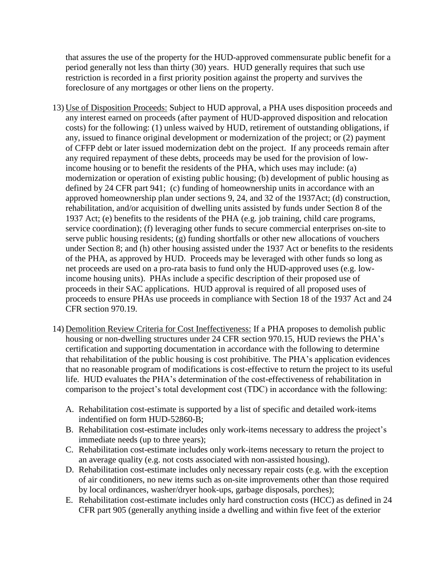that assures the use of the property for the HUD-approved commensurate public benefit for a period generally not less than thirty (30) years. HUD generally requires that such use restriction is recorded in a first priority position against the property and survives the foreclosure of any mortgages or other liens on the property.

- 13) Use of Disposition Proceeds: Subject to HUD approval, a PHA uses disposition proceeds and any interest earned on proceeds (after payment of HUD-approved disposition and relocation costs) for the following: (1) unless waived by HUD, retirement of outstanding obligations, if any, issued to finance original development or modernization of the project; or (2) payment of CFFP debt or later issued modernization debt on the project. If any proceeds remain after any required repayment of these debts, proceeds may be used for the provision of lowincome housing or to benefit the residents of the PHA, which uses may include: (a) modernization or operation of existing public housing; (b) development of public housing as defined by 24 CFR part 941; (c) funding of homeownership units in accordance with an approved homeownership plan under sections 9, 24, and 32 of the 1937Act; (d) construction, rehabilitation, and/or acquisition of dwelling units assisted by funds under Section 8 of the 1937 Act; (e) benefits to the residents of the PHA (e.g. job training, child care programs, service coordination); (f) leveraging other funds to secure commercial enterprises on-site to serve public housing residents; (g) funding shortfalls or other new allocations of vouchers under Section 8; and (h) other housing assisted under the 1937 Act or benefits to the residents of the PHA, as approved by HUD. Proceeds may be leveraged with other funds so long as net proceeds are used on a pro-rata basis to fund only the HUD-approved uses (e.g. lowincome housing units). PHAs include a specific description of their proposed use of proceeds in their SAC applications. HUD approval is required of all proposed uses of proceeds to ensure PHAs use proceeds in compliance with Section 18 of the 1937 Act and 24 CFR section 970.19.
- 14) Demolition Review Criteria for Cost Ineffectiveness: If a PHA proposes to demolish public housing or non-dwelling structures under 24 CFR section 970.15, HUD reviews the PHA's certification and supporting documentation in accordance with the following to determine that rehabilitation of the public housing is cost prohibitive. The PHA's application evidences that no reasonable program of modifications is cost-effective to return the project to its useful life. HUD evaluates the PHA's determination of the cost-effectiveness of rehabilitation in comparison to the project's total development cost (TDC) in accordance with the following:
	- A. Rehabilitation cost-estimate is supported by a list of specific and detailed work-items indentified on form HUD-52860-B;
	- B. Rehabilitation cost-estimate includes only work-items necessary to address the project's immediate needs (up to three years);
	- C. Rehabilitation cost-estimate includes only work-items necessary to return the project to an average quality (e.g. not costs associated with non-assisted housing).
	- D. Rehabilitation cost-estimate includes only necessary repair costs (e.g. with the exception of air conditioners, no new items such as on-site improvements other than those required by local ordinances, washer/dryer hook-ups, garbage disposals, porches);
	- E. Rehabilitation cost-estimate includes only hard construction costs (HCC) as defined in 24 CFR part 905 (generally anything inside a dwelling and within five feet of the exterior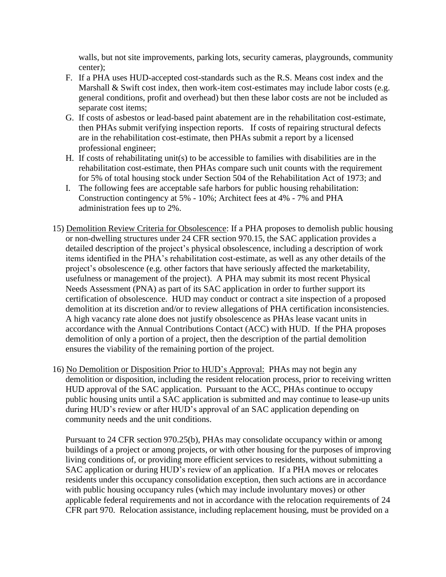walls, but not site improvements, parking lots, security cameras, playgrounds, community center);

- F. If a PHA uses HUD-accepted cost-standards such as the R.S. Means cost index and the Marshall & Swift cost index, then work-item cost-estimates may include labor costs (e.g. general conditions, profit and overhead) but then these labor costs are not be included as separate cost items;
- G. If costs of asbestos or lead-based paint abatement are in the rehabilitation cost-estimate, then PHAs submit verifying inspection reports. If costs of repairing structural defects are in the rehabilitation cost-estimate, then PHAs submit a report by a licensed professional engineer;
- H. If costs of rehabilitating unit(s) to be accessible to families with disabilities are in the rehabilitation cost-estimate, then PHAs compare such unit counts with the requirement for 5% of total housing stock under Section 504 of the Rehabilitation Act of 1973; and
- I. The following fees are acceptable safe harbors for public housing rehabilitation: Construction contingency at 5% - 10%; Architect fees at 4% - 7% and PHA administration fees up to 2%.
- 15) Demolition Review Criteria for Obsolescence: If a PHA proposes to demolish public housing or non-dwelling structures under 24 CFR section 970.15, the SAC application provides a detailed description of the project's physical obsolescence, including a description of work items identified in the PHA's rehabilitation cost-estimate, as well as any other details of the project's obsolescence (e.g. other factors that have seriously affected the marketability, usefulness or management of the project). A PHA may submit its most recent Physical Needs Assessment (PNA) as part of its SAC application in order to further support its certification of obsolescence. HUD may conduct or contract a site inspection of a proposed demolition at its discretion and/or to review allegations of PHA certification inconsistencies. A high vacancy rate alone does not justify obsolescence as PHAs lease vacant units in accordance with the Annual Contributions Contact (ACC) with HUD. If the PHA proposes demolition of only a portion of a project, then the description of the partial demolition ensures the viability of the remaining portion of the project.
- 16) No Demolition or Disposition Prior to HUD's Approval: PHAs may not begin any demolition or disposition, including the resident relocation process, prior to receiving written HUD approval of the SAC application. Pursuant to the ACC, PHAs continue to occupy public housing units until a SAC application is submitted and may continue to lease-up units during HUD's review or after HUD's approval of an SAC application depending on community needs and the unit conditions.

Pursuant to 24 CFR section 970.25(b), PHAs may consolidate occupancy within or among buildings of a project or among projects, or with other housing for the purposes of improving living conditions of, or providing more efficient services to residents, without submitting a SAC application or during HUD's review of an application. If a PHA moves or relocates residents under this occupancy consolidation exception, then such actions are in accordance with public housing occupancy rules (which may include involuntary moves) or other applicable federal requirements and not in accordance with the relocation requirements of 24 CFR part 970. Relocation assistance, including replacement housing, must be provided on a